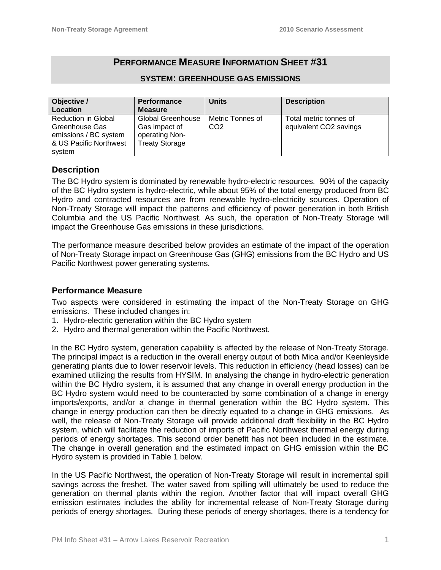# **PERFORMANCE MEASURE INFORMATION SHEET #31**

#### **SYSTEM: GREENHOUSE GAS EMISSIONS**

| Objective /                | <b>Performance</b>       | <b>Units</b>     | <b>Description</b>     |
|----------------------------|--------------------------|------------------|------------------------|
| Location                   | <b>Measure</b>           |                  |                        |
| <b>Reduction in Global</b> | <b>Global Greenhouse</b> | Metric Tonnes of | Total metric tonnes of |
| Greenhouse Gas             | Gas impact of            | CO <sub>2</sub>  | equivalent CO2 savings |
| emissions / BC system      | operating Non-           |                  |                        |
| & US Pacific Northwest     | <b>Treaty Storage</b>    |                  |                        |
| system                     |                          |                  |                        |

# **Description**

The BC Hydro system is dominated by renewable hydro-electric resources. 90% of the capacity of the BC Hydro system is hydro-electric, while about 95% of the total energy produced from BC Hydro and contracted resources are from renewable hydro-electricity sources. Operation of Non-Treaty Storage will impact the patterns and efficiency of power generation in both British Columbia and the US Pacific Northwest. As such, the operation of Non-Treaty Storage will impact the Greenhouse Gas emissions in these jurisdictions.

The performance measure described below provides an estimate of the impact of the operation of Non-Treaty Storage impact on Greenhouse Gas (GHG) emissions from the BC Hydro and US Pacific Northwest power generating systems.

# **Performance Measure**

Two aspects were considered in estimating the impact of the Non-Treaty Storage on GHG emissions. These included changes in:

- 1. Hydro-electric generation within the BC Hydro system
- 2. Hydro and thermal generation within the Pacific Northwest.

In the BC Hydro system, generation capability is affected by the release of Non-Treaty Storage. The principal impact is a reduction in the overall energy output of both Mica and/or Keenleyside generating plants due to lower reservoir levels. This reduction in efficiency (head losses) can be examined utilizing the results from HYSIM. In analysing the change in hydro-electric generation within the BC Hydro system, it is assumed that any change in overall energy production in the BC Hydro system would need to be counteracted by some combination of a change in energy imports/exports, and/or a change in thermal generation within the BC Hydro system. This change in energy production can then be directly equated to a change in GHG emissions. As well, the release of Non-Treaty Storage will provide additional draft flexibility in the BC Hydro system, which will facilitate the reduction of imports of Pacific Northwest thermal energy during periods of energy shortages. This second order benefit has not been included in the estimate. The change in overall generation and the estimated impact on GHG emission within the BC Hydro system is provided in Table 1 below.

In the US Pacific Northwest, the operation of Non-Treaty Storage will result in incremental spill savings across the freshet. The water saved from spilling will ultimately be used to reduce the generation on thermal plants within the region. Another factor that will impact overall GHG emission estimates includes the ability for incremental release of Non-Treaty Storage during periods of energy shortages. During these periods of energy shortages, there is a tendency for